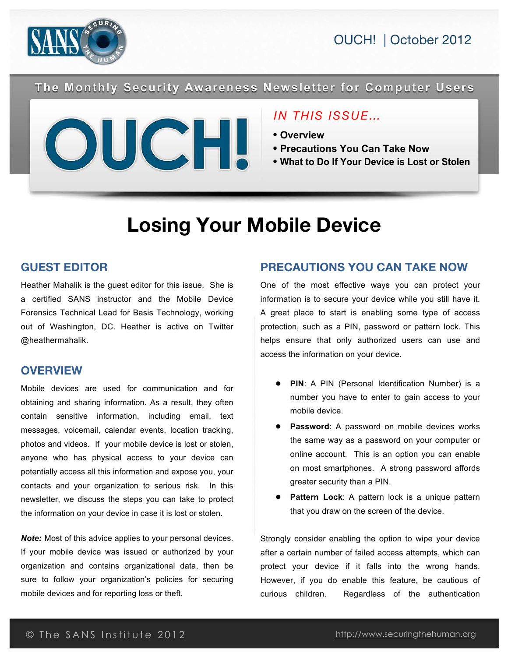



The Monthly Security Awareness Newsletter for Computer Users



### *IN THIS ISSUE…*

- **Overview**
- **Precautions You Can Take Now**
- **What to Do If Your Device is Lost or Stolen**

# **Losing Your Mobile Device**

### **GUEST EDITOR**

Heather Mahalik is the guest editor for this issue. She is a certified SANS instructor and the Mobile Device Forensics Technical Lead for Basis Technology, working out of Washington, DC. Heather is active on Twitter @heathermahalik.

#### **OVERVIEW**

Mobile devices are used for communication and for obtaining and sharing information. As a result, they often contain sensitive information, including email, text messages, voicemail, calendar events, location tracking, photos and videos. If your mobile device is lost or stolen, anyone who has physical access to your device can potentially access all this information and expose you, your contacts and your organization to serious risk. In this newsletter, we discuss the steps you can take to protect the information on your device in case it is lost or stolen.

*Note:* Most of this advice applies to your personal devices. If your mobile device was issued or authorized by your organization and contains organizational data, then be sure to follow your organization's policies for securing mobile devices and for reporting loss or theft.

### **PRECAUTIONS YOU CAN TAKE NOW**

One of the most effective ways you can protect your information is to secure your device while you still have it. A great place to start is enabling some type of access protection, such as a PIN, password or pattern lock. This helps ensure that only authorized users can use and access the information on your device.

- **PIN**: A PIN (Personal Identification Number) is a number you have to enter to gain access to your mobile device.
- **Password**: A password on mobile devices works the same way as a password on your computer or online account. This is an option you can enable on most smartphones. A strong password affords greater security than a PIN.
- Pattern Lock: A pattern lock is a unique pattern that you draw on the screen of the device.

Strongly consider enabling the option to wipe your device after a certain number of failed access attempts, which can protect your device if it falls into the wrong hands. However, if you do enable this feature, be cautious of curious children. Regardless of the authentication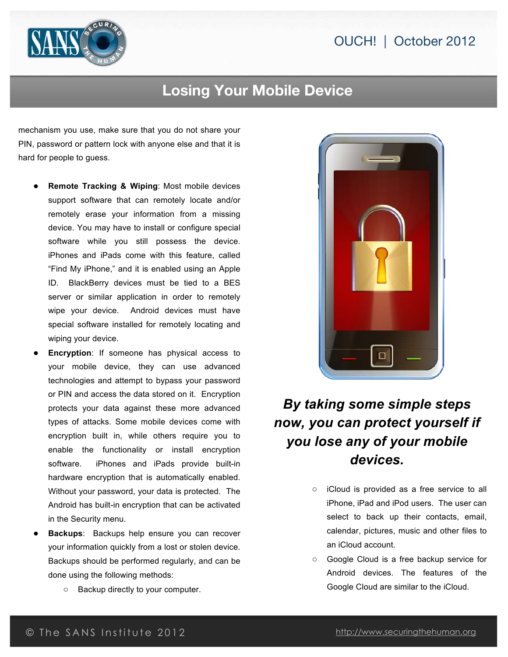### OUCH! | October 2012



## **Losing Your Mobile Device**

mechanism you use, make sure that you do not share your PIN, password or pattern lock with anyone else and that it is hard for people to guess.

- **Remote Tracking & Wiping: Most mobile devices** support software that can remotely locate and/or remotely erase your information from a missing device. You may have to install or configure special software while you still possess the device. iPhones and iPads come with this feature, called "Find My iPhone," and it is enabled using an Apple ID. BlackBerry devices must be tied to a BES server or similar application in order to remotely wipe your device. Android devices must have special software installed for remotely locating and wiping your device.
- **Encryption**: If someone has physical access to your mobile device, they can use advanced technologies and attempt to bypass your password or PIN and access the data stored on it. Encryption protects your data against these more advanced types of attacks. Some mobile devices come with encryption built in, while others require you to enable the functionality or install encryption software. iPhones and iPads provide built-in hardware encryption that is automatically enabled. Without your password, your data is protected. The Android has built-in encryption that can be activated in the Security menu.
- **Backups**: Backups help ensure you can recover your information quickly from a lost or stolen device. Backups should be performed regularly, and can be done using the following methods:
	- **○** Backup directly to your computer.



# *By taking some simple steps now, you can protect yourself if you lose any of your mobile devices.*

- **○** iCloud is provided as a free service to all iPhone, iPad and iPod users. The user can select to back up their contacts, email, calendar, pictures, music and other files to an iCloud account.
- **○** Google Cloud is a free backup service for Android devices. The features of the Google Cloud are similar to the iCloud.